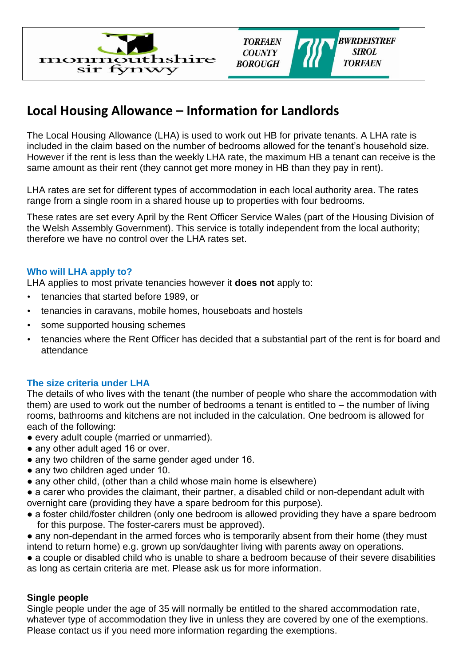



# **Local Housing Allowance – Information for Landlords**

The Local Housing Allowance (LHA) is used to work out HB for private tenants. A LHA rate is included in the claim based on the number of bedrooms allowed for the tenant's household size. However if the rent is less than the weekly LHA rate, the maximum HB a tenant can receive is the same amount as their rent (they cannot get more money in HB than they pay in rent).

LHA rates are set for different types of accommodation in each local authority area. The rates range from a single room in a shared house up to properties with four bedrooms.

These rates are set every April by the Rent Officer Service Wales (part of the Housing Division of the Welsh Assembly Government). This service is totally independent from the local authority; therefore we have no control over the LHA rates set.

### **Who will LHA apply to?**

LHA applies to most private tenancies however it **does not** apply to:

- tenancies that started before 1989, or
- tenancies in caravans, mobile homes, houseboats and hostels
- some supported housing schemes
- tenancies where the Rent Officer has decided that a substantial part of the rent is for board and attendance

#### **The size criteria under LHA**

The details of who lives with the tenant (the number of people who share the accommodation with them) are used to work out the number of bedrooms a tenant is entitled to – the number of living rooms, bathrooms and kitchens are not included in the calculation. One bedroom is allowed for each of the following:

- every adult couple (married or unmarried).
- any other adult aged 16 or over.
- any two children of the same gender aged under 16.
- any two children aged under 10.
- any other child, (other than a child whose main home is elsewhere)

● a carer who provides the claimant, their partner, a disabled child or non-dependant adult with overnight care (providing they have a spare bedroom for this purpose).

- a foster child/foster children (only one bedroom is allowed providing they have a spare bedroom for this purpose. The foster-carers must be approved).
- any non-dependant in the armed forces who is temporarily absent from their home (they must intend to return home) e.g. grown up son/daughter living with parents away on operations.

• a couple or disabled child who is unable to share a bedroom because of their severe disabilities as long as certain criteria are met. Please ask us for more information.

### **Single people**

Single people under the age of 35 will normally be entitled to the shared accommodation rate, whatever type of accommodation they live in unless they are covered by one of the exemptions. Please contact us if you need more information regarding the exemptions.